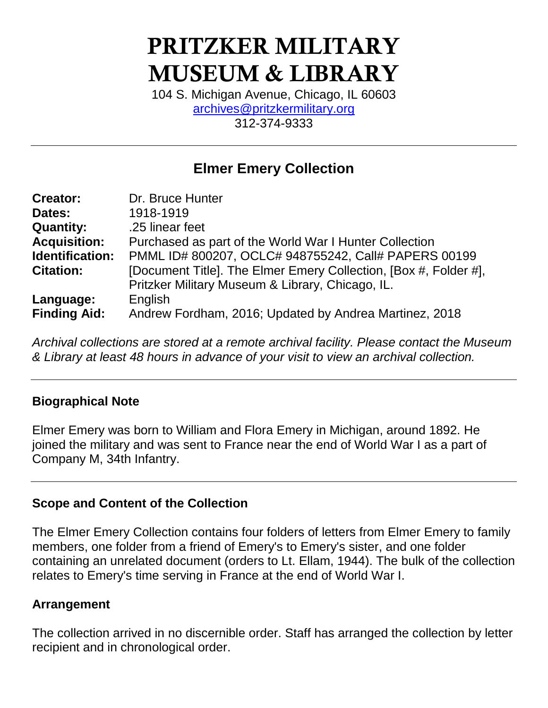# **PRITZKER MILITARY MUSEUM & LIBRARY**

104 S. Michigan Avenue, Chicago, IL 60603 [archives@pritzkermilitary.org](mailto:archives@pritzkermilitary.org) 312-374-9333

# **Elmer Emery Collection**

| <b>Creator:</b>     | Dr. Bruce Hunter                                                 |
|---------------------|------------------------------------------------------------------|
| Dates:              | 1918-1919                                                        |
| <b>Quantity:</b>    | .25 linear feet                                                  |
| <b>Acquisition:</b> | Purchased as part of the World War I Hunter Collection           |
| Identification:     | PMML ID# 800207, OCLC# 948755242, Call# PAPERS 00199             |
| <b>Citation:</b>    | [Document Title]. The Elmer Emery Collection, [Box #, Folder #], |
|                     | Pritzker Military Museum & Library, Chicago, IL.                 |
| Language:           | English                                                          |
| <b>Finding Aid:</b> | Andrew Fordham, 2016; Updated by Andrea Martinez, 2018           |

*Archival collections are stored at a remote archival facility. Please contact the Museum & Library at least 48 hours in advance of your visit to view an archival collection.*

### **Biographical Note**

Elmer Emery was born to William and Flora Emery in Michigan, around 1892. He joined the military and was sent to France near the end of World War I as a part of Company M, 34th Infantry.

### **Scope and Content of the Collection**

The Elmer Emery Collection contains four folders of letters from Elmer Emery to family members, one folder from a friend of Emery's to Emery's sister, and one folder containing an unrelated document (orders to Lt. Ellam, 1944). The bulk of the collection relates to Emery's time serving in France at the end of World War I.

# **Arrangement**

The collection arrived in no discernible order. Staff has arranged the collection by letter recipient and in chronological order.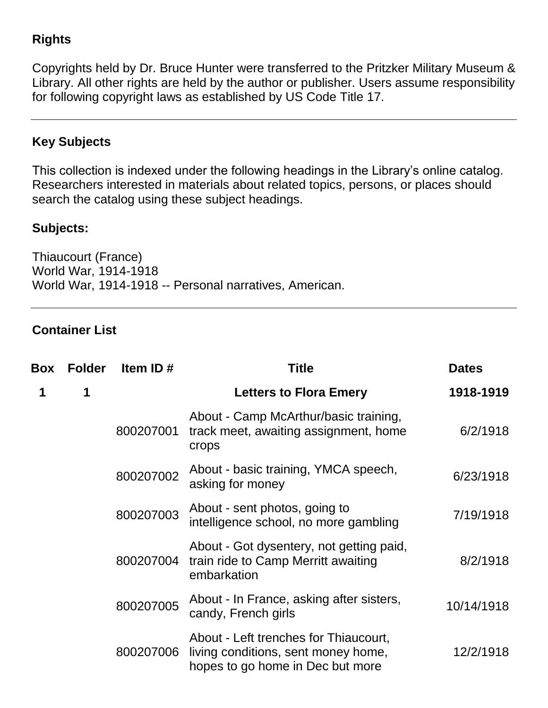# **Rights**

Copyrights held by Dr. Bruce Hunter were transferred to the Pritzker Military Museum & Library. All other rights are held by the author or publisher. Users assume responsibility for following copyright laws as established by US Code Title 17.

# **Key Subjects**

This collection is indexed under the following headings in the Library's online catalog. Researchers interested in materials about related topics, persons, or places should search the catalog using these subject headings.

### **Subjects:**

Thiaucourt (France) World War, 1914-1918 World War, 1914-1918 -- Personal narratives, American.

#### **Container List**

| Box | <b>Folder</b> | Item ID $#$ | Title                                                                                                            | <b>Dates</b> |
|-----|---------------|-------------|------------------------------------------------------------------------------------------------------------------|--------------|
| 1   | 1             |             | <b>Letters to Flora Emery</b>                                                                                    | 1918-1919    |
|     |               | 800207001   | About - Camp McArthur/basic training,<br>track meet, awaiting assignment, home<br>crops                          | 6/2/1918     |
|     |               | 800207002   | About - basic training, YMCA speech,<br>asking for money                                                         | 6/23/1918    |
|     |               | 800207003   | About - sent photos, going to<br>intelligence school, no more gambling                                           | 7/19/1918    |
|     |               | 800207004   | About - Got dysentery, not getting paid,<br>train ride to Camp Merritt awaiting<br>embarkation                   | 8/2/1918     |
|     |               | 800207005   | About - In France, asking after sisters,<br>candy, French girls                                                  | 10/14/1918   |
|     |               | 800207006   | About - Left trenches for Thiaucourt,<br>living conditions, sent money home,<br>hopes to go home in Dec but more | 12/2/1918    |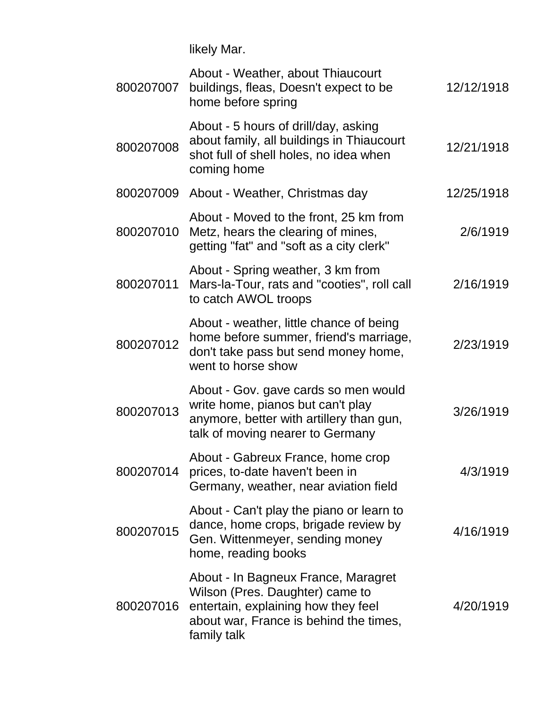likely Mar.

| 800207007 | About - Weather, about Thiaucourt<br>buildings, fleas, Doesn't expect to be<br>home before spring                                                                      | 12/12/1918 |
|-----------|------------------------------------------------------------------------------------------------------------------------------------------------------------------------|------------|
| 800207008 | About - 5 hours of drill/day, asking<br>about family, all buildings in Thiaucourt<br>shot full of shell holes, no idea when<br>coming home                             | 12/21/1918 |
|           | 800207009 About - Weather, Christmas day                                                                                                                               | 12/25/1918 |
| 800207010 | About - Moved to the front, 25 km from<br>Metz, hears the clearing of mines,<br>getting "fat" and "soft as a city clerk"                                               | 2/6/1919   |
| 800207011 | About - Spring weather, 3 km from<br>Mars-la-Tour, rats and "cooties", roll call<br>to catch AWOL troops                                                               | 2/16/1919  |
| 800207012 | About - weather, little chance of being<br>home before summer, friend's marriage,<br>don't take pass but send money home,<br>went to horse show                        | 2/23/1919  |
| 800207013 | About - Gov. gave cards so men would<br>write home, pianos but can't play<br>anymore, better with artillery than gun,<br>talk of moving nearer to Germany              | 3/26/1919  |
| 800207014 | About - Gabreux France, home crop<br>prices, to-date haven't been in<br>Germany, weather, near aviation field                                                          | 4/3/1919   |
| 800207015 | About - Can't play the piano or learn to<br>dance, home crops, brigade review by<br>Gen. Wittenmeyer, sending money<br>home, reading books                             | 4/16/1919  |
| 800207016 | About - In Bagneux France, Maragret<br>Wilson (Pres. Daughter) came to<br>entertain, explaining how they feel<br>about war, France is behind the times,<br>family talk | 4/20/1919  |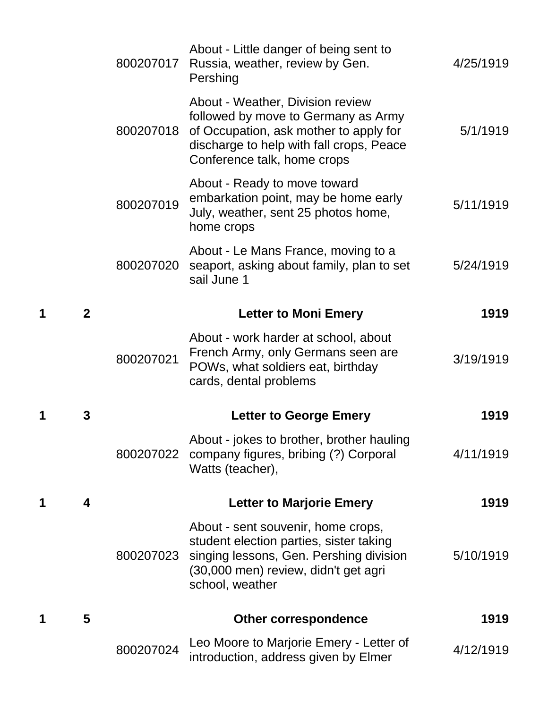|   |                | 800207024 | Leo Moore to Marjorie Emery - Letter of<br>introduction, address given by Elmer                                                                                                              | 4/12/1919 |
|---|----------------|-----------|----------------------------------------------------------------------------------------------------------------------------------------------------------------------------------------------|-----------|
| 1 | 5              |           | <b>Other correspondence</b>                                                                                                                                                                  | 1919      |
|   |                | 800207023 | About - sent souvenir, home crops,<br>student election parties, sister taking<br>singing lessons, Gen. Pershing division<br>(30,000 men) review, didn't get agri<br>school, weather          | 5/10/1919 |
| 1 | 4              |           | <b>Letter to Marjorie Emery</b>                                                                                                                                                              | 1919      |
|   |                | 800207022 | About - jokes to brother, brother hauling<br>company figures, bribing (?) Corporal<br>Watts (teacher),                                                                                       | 4/11/1919 |
| 1 | 3              |           | <b>Letter to George Emery</b>                                                                                                                                                                | 1919      |
|   |                | 800207021 | About - work harder at school, about<br>French Army, only Germans seen are<br>POWs, what soldiers eat, birthday<br>cards, dental problems                                                    | 3/19/1919 |
| 1 | $\overline{2}$ |           | <b>Letter to Moni Emery</b>                                                                                                                                                                  | 1919      |
|   |                | 800207020 | About - Le Mans France, moving to a<br>seaport, asking about family, plan to set<br>sail June 1                                                                                              | 5/24/1919 |
|   |                | 800207019 | About - Ready to move toward<br>embarkation point, may be home early<br>July, weather, sent 25 photos home,<br>home crops                                                                    | 5/11/1919 |
|   |                | 800207018 | About - Weather, Division review<br>followed by move to Germany as Army<br>of Occupation, ask mother to apply for<br>discharge to help with fall crops, Peace<br>Conference talk, home crops | 5/1/1919  |
|   |                | 800207017 | About - Little danger of being sent to<br>Russia, weather, review by Gen.<br>Pershing                                                                                                        | 4/25/1919 |